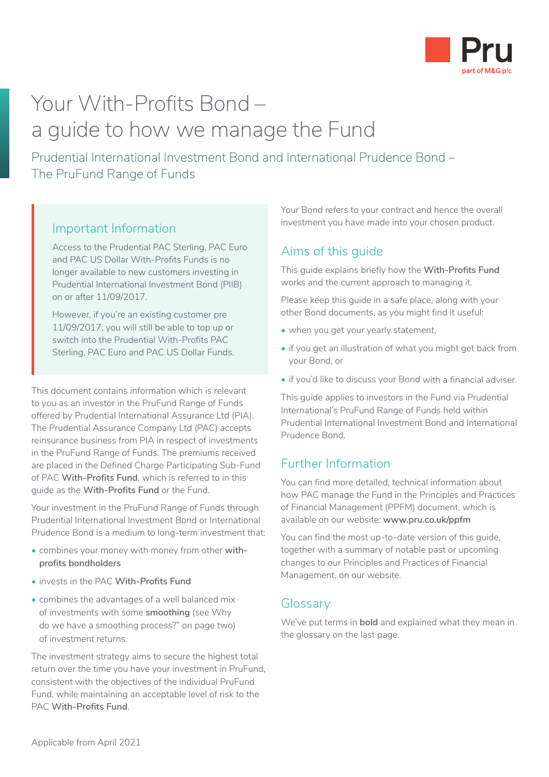

# Your With-Profits Bond – a guide to how we manage the Fund

Prudential International Investment Bond and International Prudence Bond – The PruFund Range of Funds

### Important Information

Access to the Prudential PAC Sterling, PAC Euro and PAC US Dollar With-Profits Funds is no longer available to new customers investing in Prudential International Investment Bond (PIIB) on or after 11/09/2017.

However, if you're an existing customer pre 11/09/2017, you will still be able to top up or switch into the Prudential With-Profits PAC Sterling, PAC Euro and PAC US Dollar Funds.

This document contains information which is relevant to you as an investor in the PruFund Range of Funds offered by Prudential International Assurance Ltd (PIA). The Prudential Assurance Company Ltd (PAC) accepts reinsurance business from PIA in respect of investments in the PruFund Range of Funds. The premiums received are placed in the Defined Charge Participating Sub-Fund of PAC **With-Profits Fund**, which is referred to in this guide as the **With-Profits Fund** or the Fund.

Your investment in the PruFund Range of Funds through Prudential International Investment Bond or International Prudence Bond is a medium to long-term investment that:

- combines your money with money from other **withprofits bondholders**
- invests in the PAC **With-Profits Fund**
- combines the advantages of a well balanced mix of investments with some **smoothing** (see Why do we have a smoothing process?" on page two) of investment returns.

The investment strategy aims to secure the highest total return over the time you have your investment in PruFund, consistent with the objectives of the individual PruFund Fund, while maintaining an acceptable level of risk to the PAC **With-Profits Fund**.

Your Bond refers to your contract and hence the overall investment you have made into your chosen product.

### Aims of this guide

This guide explains briefly how the **With-Profits Fund** works and the current approach to managing it.

Please keep this guide in a safe place, along with your other Bond documents, as you might find it useful:

- when you get your yearly statement.
- if you get an illustration of what you might get back from your Bond, or
- if you'd like to discuss your Bond with a financial adviser.

This guide applies to investors in the Fund via Prudential International's PruFund Range of Funds held within Prudential International Investment Bond and International Prudence Bond.

### Further Information

You can find more detailed, technical information about how PAC manage the Fund in the Principles and Practices of Financial Management (PPFM) document, which is available on our website: **www.pru.co.uk/ppfm**

You can find the most up-to-date version of this guide, together with a summary of notable past or upcoming changes to our Principles and Practices of Financial Management, on our website.

### Glossary

We've put terms in **bold** and explained what they mean in the glossary on the last page.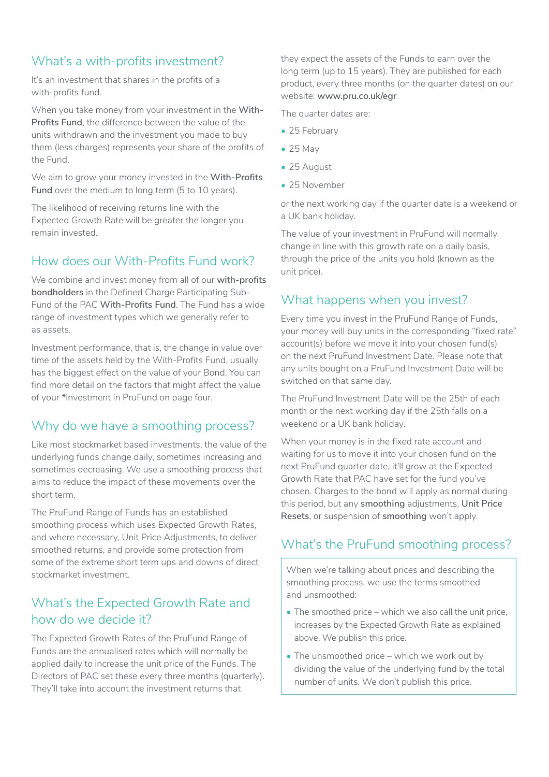# What's a with-profits investment?

It's an investment that shares in the profits of a with-profits fund.

When you take money from your investment in the **With-Profits Fund**, the difference between the value of the units withdrawn and the investment you made to buy them (less charges) represents your share of the profits of the Fund.

We aim to grow your money invested in the **With-Profits Fund** over the medium to long term (5 to 10 years).

The likelihood of receiving returns line with the Expected Growth Rate will be greater the longer you remain invested.

### How does our With-Profits Fund work?

We combine and invest money from all of our **with-profits bondholders** in the Defined Charge Participating Sub-Fund of the PAC **With-Profits Fund**. The Fund has a wide range of investment types which we generally refer to as assets.

Investment performance, that is, the change in value over time of the assets held by the With-Profits Fund, usually has the biggest effect on the value of your Bond. You can find more detail on the factors that might affect the value of your \*investment in PruFund on page four.

### Why do we have a smoothing process?

Like most stockmarket based investments, the value of the underlying funds change daily, sometimes increasing and sometimes decreasing. We use a smoothing process that aims to reduce the impact of these movements over the short term.

The PruFund Range of Funds has an established smoothing process which uses Expected Growth Rates, and where necessary, Unit Price Adjustments, to deliver smoothed returns, and provide some protection from some of the extreme short term ups and downs of direct stockmarket investment.

# What's the Expected Growth Rate and how do we decide it?

The Expected Growth Rates of the PruFund Range of Funds are the annualised rates which will normally be applied daily to increase the unit price of the Funds. The Directors of PAC set these every three months (quarterly). They'll take into account the investment returns that

they expect the assets of the Funds to earn over the long term (up to 15 years). They are published for each product, every three months (on the quarter dates) on our website: **www.pru.co.uk/egr**

The quarter dates are:

- 25 February
- $\bullet$  25 May
- 25 August
- 25 November

or the next working day if the quarter date is a weekend or a UK bank holiday.

The value of your investment in PruFund will normally change in line with this growth rate on a daily basis, through the price of the units you hold (known as the unit price).

### What happens when you invest?

Every time you invest in the PruFund Range of Funds, your money will buy units in the corresponding "fixed rate" account(s) before we move it into your chosen fund(s) on the next PruFund Investment Date. Please note that any units bought on a PruFund Investment Date will be switched on that same day.

The PruFund Investment Date will be the 25th of each month or the next working day if the 25th falls on a weekend or a UK bank holiday.

When your money is in the fixed rate account and waiting for us to move it into your chosen fund on the next PruFund quarter date, it'll grow at the Expected Growth Rate that PAC have set for the fund you've chosen. Charges to the bond will apply as normal during this period, but any **smoothing** adjustments, **Unit Price Resets**, or suspension of **smoothing** won't apply.

### What's the PruFund smoothing process?

When we're talking about prices and describing the smoothing process, we use the terms smoothed and unsmoothed:

- The smoothed price which we also call the unit price, increases by the Expected Growth Rate as explained above. We publish this price.
- The unsmoothed price which we work out by dividing the value of the underlying fund by the total number of units. We don't publish this price.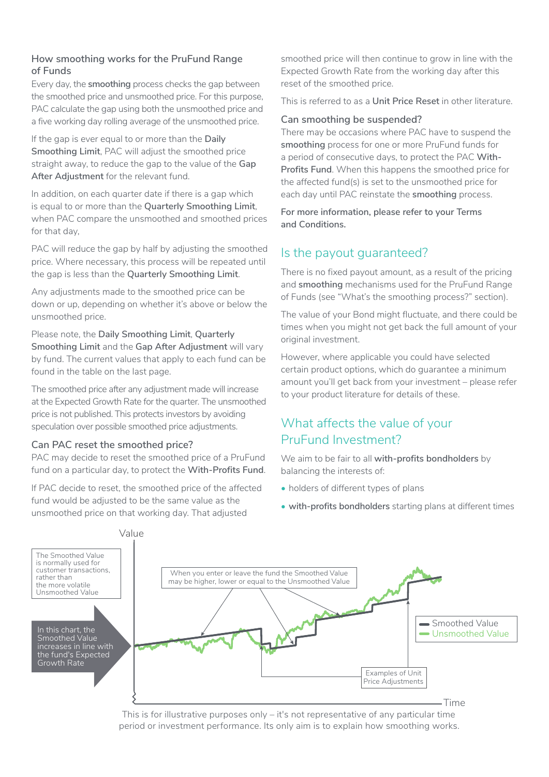#### **How smoothing works for the PruFund Range of Funds**

Every day, the **smoothing** process checks the gap between the smoothed price and unsmoothed price. For this purpose, PAC calculate the gap using both the unsmoothed price and a five working day rolling average of the unsmoothed price.

If the gap is ever equal to or more than the **Daily Smoothing Limit**, PAC will adjust the smoothed price straight away, to reduce the gap to the value of the **Gap After Adjustment** for the relevant fund.

In addition, on each quarter date if there is a gap which is equal to or more than the **Quarterly Smoothing Limit**, when PAC compare the unsmoothed and smoothed prices for that day,

PAC will reduce the gap by half by adjusting the smoothed price. Where necessary, this process will be repeated until the gap is less than the **Quarterly Smoothing Limit**.

Any adjustments made to the smoothed price can be down or up, depending on whether it's above or below the unsmoothed price.

Please note, the **Daily Smoothing Limit**, **Quarterly Smoothing Limit** and the **Gap After Adjustment** will vary by fund. The current values that apply to each fund can be found in the table on the last page.

The smoothed price after any adjustment made will increase at the Expected Growth Rate for the quarter. The unsmoothed price is not published. This protects investors by avoiding speculation over possible smoothed price adjustments.

#### **Can PAC reset the smoothed price?**

PAC may decide to reset the smoothed price of a PruFund fund on a particular day, to protect the **With-Profits Fund**.

If PAC decide to reset, the smoothed price of the affected fund would be adjusted to be the same value as the unsmoothed price on that working day. That adjusted

smoothed price will then continue to grow in line with the Expected Growth Rate from the working day after this reset of the smoothed price.

This is referred to as a **Unit Price Reset** in other literature.

#### **Can smoothing be suspended?**

There may be occasions where PAC have to suspend the **smoothing** process for one or more PruFund funds for a period of consecutive days, to protect the PAC **With-Profits Fund**. When this happens the smoothed price for the affected fund(s) is set to the unsmoothed price for each day until PAC reinstate the **smoothing** process.

**For more information, please refer to your Terms and Conditions.**

### Is the payout guaranteed?

There is no fixed payout amount, as a result of the pricing and **smoothing** mechanisms used for the PruFund Range of Funds (see "What's the smoothing process?" section).

The value of your Bond might fluctuate, and there could be times when you might not get back the full amount of your original investment.

However, where applicable you could have selected certain product options, which do guarantee a minimum amount you'll get back from your investment – please refer to your product literature for details of these.

### What affects the value of your PruFund Investment?

We aim to be fair to all **with-profits bondholders** by balancing the interests of:

- holders of different types of plans
- **with-profits bondholders** starting plans at different times



This is for illustrative purposes only  $-$  it's not representative of any particular time period or investment performance. Its only aim is to explain how smoothing works.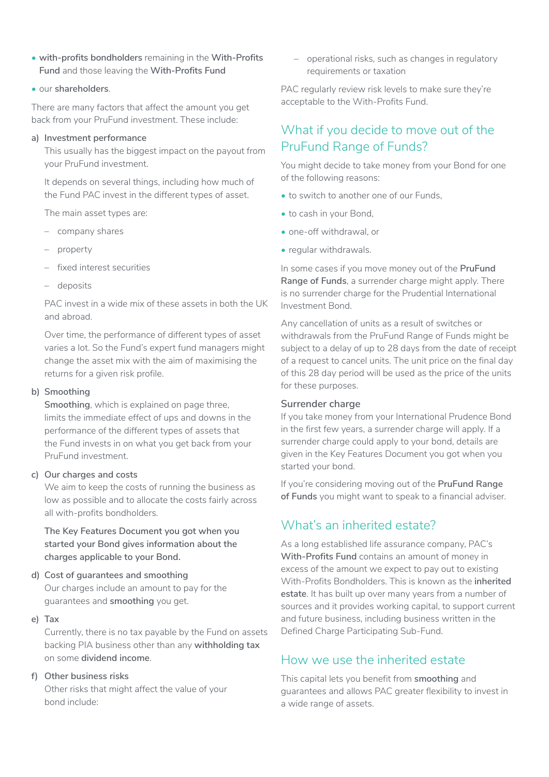- **with-profits bondholders** remaining in the **With-Profits Fund** and those leaving the **With-Profits Fund**
- our **shareholders**.

There are many factors that affect the amount you get back from your PruFund investment. These include:

#### **a) Investment performance**

This usually has the biggest impact on the payout from your PruFund investment.

It depends on several things, including how much of the Fund PAC invest in the different types of asset.

The main asset types are:

- company shares
- property
- fixed interest securities
- deposits

PAC invest in a wide mix of these assets in both the UK and abroad.

Over time, the performance of different types of asset varies a lot. So the Fund's expert fund managers might change the asset mix with the aim of maximising the returns for a given risk profile.

#### **b) Smoothing**

**Smoothing**, which is explained on page three, limits the immediate effect of ups and downs in the performance of the different types of assets that the Fund invests in on what you get back from your PruFund investment.

#### **c) Our charges and costs**

We aim to keep the costs of running the business as low as possible and to allocate the costs fairly across all with-profits bondholders.

**The Key Features Document you got when you started your Bond gives information about the charges applicable to your Bond.**

#### **d) Cost of guarantees and smoothing** Our charges include an amount to pay for the guarantees and **smoothing** you get.

#### **e) Tax**

Currently, there is no tax payable by the Fund on assets backing PIA business other than any **withholding tax**  on some **dividend income**.

#### **f) Other business risks**

Other risks that might affect the value of your bond include:

– operational risks, such as changes in regulatory requirements or taxation

PAC regularly review risk levels to make sure they're acceptable to the With-Profits Fund.

### What if you decide to move out of the PruFund Range of Funds?

You might decide to take money from your Bond for one of the following reasons:

- to switch to another one of our Funds,
- to cash in your Bond,
- one-off withdrawal, or
- regular withdrawals.

In some cases if you move money out of the **PruFund Range of Funds**, a surrender charge might apply. There is no surrender charge for the Prudential International Investment Bond.

Any cancellation of units as a result of switches or withdrawals from the PruFund Range of Funds might be subject to a delay of up to 28 days from the date of receipt of a request to cancel units. The unit price on the final day of this 28 day period will be used as the price of the units for these purposes.

#### **Surrender charge**

If you take money from your International Prudence Bond in the first few years, a surrender charge will apply. If a surrender charge could apply to your bond, details are given in the Key Features Document you got when you started your bond.

If you're considering moving out of the **PruFund Range of Funds** you might want to speak to a financial adviser.

### What's an inherited estate?

As a long established life assurance company, PAC's **With-Profits Fund** contains an amount of money in excess of the amount we expect to pay out to existing With-Profits Bondholders. This is known as the **inherited estate**. It has built up over many years from a number of sources and it provides working capital, to support current and future business, including business written in the Defined Charge Participating Sub-Fund.

#### How we use the inherited estate

This capital lets you benefit from **smoothing** and guarantees and allows PAC greater flexibility to invest in a wide range of assets.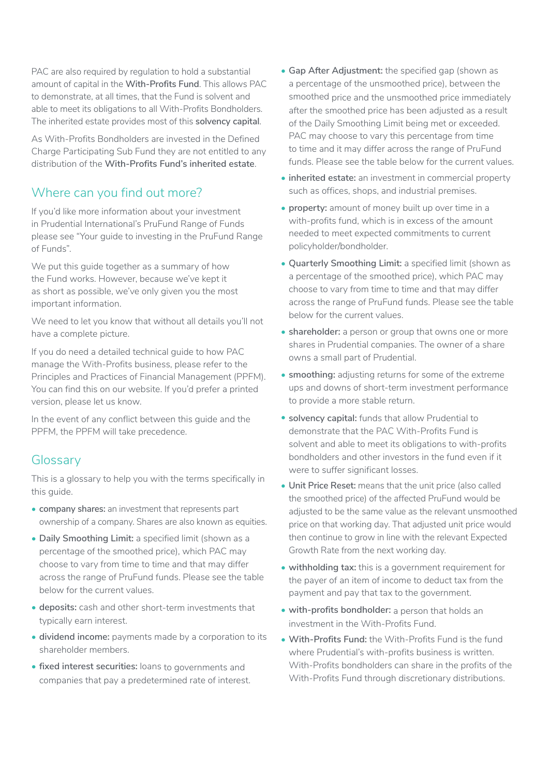PAC are also required by regulation to hold a substantial amount of capital in the **With-Profits Fund**. This allows PAC to demonstrate, at all times, that the Fund is solvent and able to meet its obligations to all With-Profits Bondholders. The inherited estate provides most of this **solvency capital**.

As With-Profits Bondholders are invested in the Defined Charge Participating Sub Fund they are not entitled to any distribution of the **With-Profits Fund's inherited estate**.

### Where can you find out more?

If you'd like more information about your investment in Prudential International's PruFund Range of Funds please see "Your guide to investing in the PruFund Range of Funds".

We put this guide together as a summary of how the Fund works. However, because we've kept it as short as possible, we've only given you the most important information.

We need to let you know that without all details you'll not have a complete picture.

If you do need a detailed technical guide to how PAC manage the With-Profits business, please refer to the Principles and Practices of Financial Management (PPFM). You can find this on our website. If you'd prefer a printed version, please let us know.

In the event of any conflict between this guide and the PPFM, the PPFM will take precedence.

#### **Glossary**

This is a glossary to help you with the terms specifically in this guide.

- **company shares:** an investment that represents part ownership of a company. Shares are also known as equities.
- **Daily Smoothing Limit:** a specified limit (shown as a percentage of the smoothed price), which PAC may choose to vary from time to time and that may differ across the range of PruFund funds. Please see the table below for the current values.
- **deposits:** cash and other short-term investments that typically earn interest.
- **dividend income:** payments made by a corporation to its shareholder members.
- **fixed interest securities:** loans to governments and companies that pay a predetermined rate of interest.
- **Gap After Adjustment:** the specified gap (shown as a percentage of the unsmoothed price), between the smoothed price and the unsmoothed price immediately after the smoothed price has been adjusted as a result of the Daily Smoothing Limit being met or exceeded. PAC may choose to vary this percentage from time to time and it may differ across the range of PruFund funds. Please see the table below for the current values.
- **inherited estate:** an investment in commercial property such as offices, shops, and industrial premises.
- **property:** amount of money built up over time in a with-profits fund, which is in excess of the amount needed to meet expected commitments to current policyholder/bondholder.
- **Quarterly Smoothing Limit:** a specified limit (shown as a percentage of the smoothed price), which PAC may choose to vary from time to time and that may differ across the range of PruFund funds. Please see the table below for the current values.
- **shareholder:** a person or group that owns one or more shares in Prudential companies. The owner of a share owns a small part of Prudential.
- **smoothing:** adjusting returns for some of the extreme ups and downs of short-term investment performance to provide a more stable return.
- **solvency capital:** funds that allow Prudential to demonstrate that the PAC With-Profits Fund is solvent and able to meet its obligations to with-profits bondholders and other investors in the fund even if it were to suffer significant losses.
- **Unit Price Reset:** means that the unit price (also called the smoothed price) of the affected PruFund would be adjusted to be the same value as the relevant unsmoothed price on that working day. That adjusted unit price would then continue to grow in line with the relevant Expected Growth Rate from the next working day.
- **withholding tax:** this is a government requirement for the payer of an item of income to deduct tax from the payment and pay that tax to the government.
- **with-profits bondholder:** a person that holds an investment in the With-Profits Fund.
- **With-Profits Fund:** the With-Profits Fund is the fund where Prudential's with-profits business is written. With-Profits bondholders can share in the profits of the With-Profits Fund through discretionary distributions.